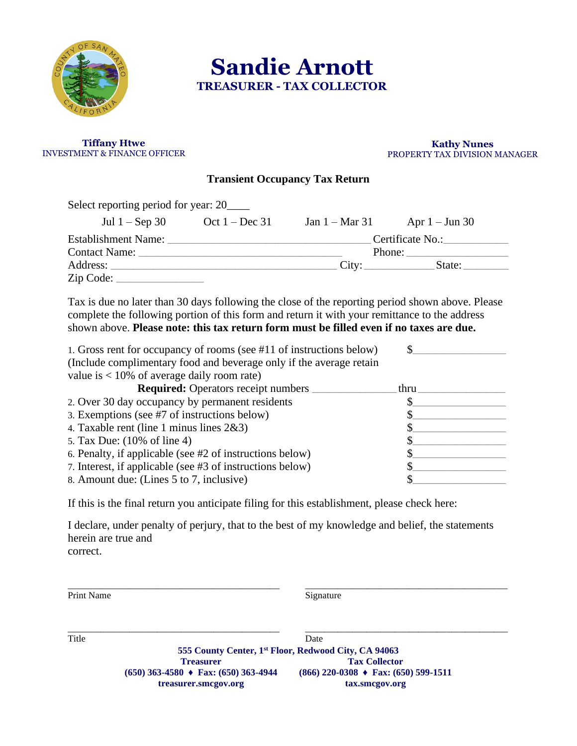

 **Sandie Arnott TREASURER - TAX COLLECTOR**

#### **Tiffany Htwe** INVESTMENT & FINANCE OFFICER

#### **Kathy Nunes** PROPERTY TAX DIVISION MANAGER

## **Transient Occupancy Tax Return**

| Select reporting period for year: 20_____ |                  |                          |                  |
|-------------------------------------------|------------------|--------------------------|------------------|
| Jul $1 -$ Sep 30                          | Oct $1 - Dec 31$ | Jan $1 - \text{Mar } 31$ | Apr $1 -$ Jun 30 |
| Establishment Name:                       |                  | Certificate No.:         |                  |
| Contact Name: Contact Name:               |                  |                          |                  |
|                                           |                  |                          |                  |
|                                           |                  |                          |                  |

Tax is due no later than 30 days following the close of the reporting period shown above. Please complete the following portion of this form and return it with your remittance to the address shown above. **Please note: this tax return form must be filled even if no taxes are due.**

| 1. Gross rent for occupancy of rooms (see #11 of instructions below) |      |
|----------------------------------------------------------------------|------|
| (Include complimentary food and beverage only if the average retain  |      |
| value is $< 10\%$ of average daily room rate)                        |      |
| <b>Required:</b> Operators receipt numbers                           | thru |
| 2. Over 30 day occupancy by permanent residents                      |      |
| 3. Exemptions (see #7 of instructions below)                         |      |
| 4. Taxable rent (line 1 minus lines $2&3$ )                          |      |
| 5. Tax Due: (10% of line 4)                                          |      |
| 6. Penalty, if applicable (see #2 of instructions below)             |      |
| 7. Interest, if applicable (see #3 of instructions below)            |      |
| 8. Amount due: (Lines 5 to 7, inclusive)                             |      |

If this is the final return you anticipate filing for this establishment, please check here:

I declare, under penalty of perjury, that to the best of my knowledge and belief, the statements herein are true and correct.

| Signature                                                                                                                  |
|----------------------------------------------------------------------------------------------------------------------------|
|                                                                                                                            |
| Date                                                                                                                       |
| 555 County Center, 1 <sup>st</sup> Floor, Redwood City, CA 94063                                                           |
| <b>Tax Collector</b>                                                                                                       |
| $(866)$ 220-0308 $\rightarrow$ Fax: (650) 599-1511<br>$(650)$ 363-4580 $\rightarrow$ Fax: (650) 363-4944<br>tax.smcgov.org |
|                                                                                                                            |